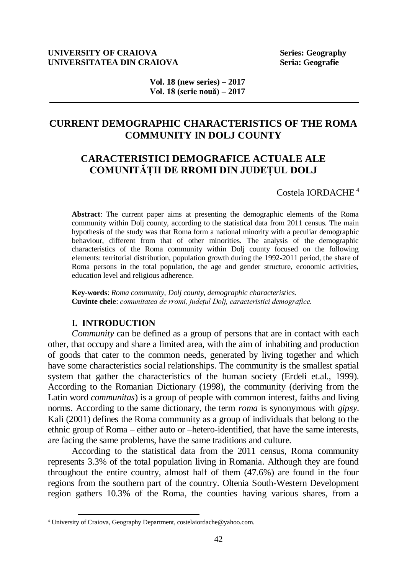#### **UNIVERSITY OF CRAIOVA** Series: Geography **UNIVERSITATEA DIN CRAIOVA** Seria: Geografie

**Vol. 18 (new series) – 2017 Vol. 18 (serie nouă) – 2017**

# **CURRENT DEMOGRAPHIC CHARACTERISTICS OF THE ROMA COMMUNITY IN DOLJ COUNTY**

# **CARACTERISTICI DEMOGRAFICE ACTUALE ALE COMUNITĂȚII DE RROMI DIN JUDEȚUL DOLJ**

Costela IORDACHE <sup>4</sup>

**Abstract**: The current paper aims at presenting the demographic elements of the Roma community within Dolj county, according to the statistical data from 2011 census. The main hypothesis of the study was that Roma form a national minority with a peculiar demographic behaviour, different from that of other minorities. The analysis of the demographic characteristics of the Roma community within Dolj county focused on the following elements: territorial distribution, population growth during the 1992-2011 period, the share of Roma persons in the total population, the age and gender structure, economic activities, education level and religious adherence.

**Key-words**: *Roma community, Dolj county, demographic characteristics.* **Cuvinte cheie**: *comunitatea de rromi, județul Dolj, caracteristici demografice.*

### **I. INTRODUCTION**

 $\overline{a}$ 

*Community* can be defined as a group of persons that are in contact with each other, that occupy and share a limited area, with the aim of inhabiting and production of goods that cater to the common needs, generated by living together and which have some characteristics social relationships. The community is the smallest spatial system that gather the characteristics of the human society (Erdeli et.al., 1999). According to the Romanian Dictionary (1998), the community (deriving from the Latin word *communitas*) is a group of people with common interest, faiths and living norms. According to the same dictionary, the term *roma* is synonymous with *gipsy*. Kali (2001) defines the Roma community as a group of individuals that belong to the ethnic group of Roma – either auto or –hetero-identified, that have the same interests, are facing the same problems, have the same traditions and culture.

According to the statistical data from the 2011 census, Roma community represents 3.3% of the total population living in Romania. Although they are found throughout the entire country, almost half of them (47.6%) are found in the four regions from the southern part of the country. Oltenia South-Western Development region gathers 10.3% of the Roma, the counties having various shares, from a

<sup>4</sup> University of Craiova, Geography Department, costelaiordache@yahoo.com.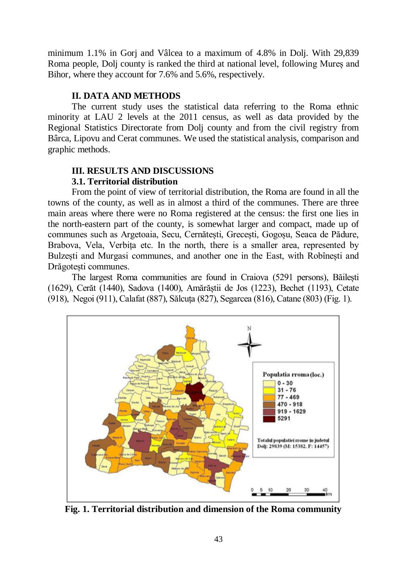minimum 1.1% in Gorj and Vâlcea to a maximum of 4.8% in Dolj. With 29,839 Roma people, Dolj county is ranked the third at national level, following Mureș and Bihor, where they account for 7.6% and 5.6%, respectively.

## **II. DATA AND METHODS**

The current study uses the statistical data referring to the Roma ethnic minority at LAU 2 levels at the 2011 census, as well as data provided by the Regional Statistics Directorate from Dolj county and from the civil registry from Bârca, Lipovu and Cerat communes. We used the statistical analysis, comparison and graphic methods.

### **III. RESULTS AND DISCUSSIONS 3.1. Territorial distribution**

From the point of view of territorial distribution, the Roma are found in all the towns of the county, as well as in almost a third of the communes. There are three main areas where there were no Roma registered at the census: the first one lies in the north-eastern part of the county, is somewhat larger and compact, made up of communes such as Argetoaia, Secu, Cernătești, Grecești, Gogoșu, Seaca de Pădure, Brabova, Vela, Verbița etc. In the north, there is a smaller area, represented by Bulzești and Murgasi communes, and another one in the East, with Robînești and Drăgotești communes.

The largest Roma communities are found in Craiova (5291 persons), Băilești (1629), Cerăt (1440), Sadova (1400), Amărăștii de Jos (1223), Bechet (1193), Cetate (918), Negoi (911), Calafat (887), Sălcuța (827), Segarcea (816), Catane (803) (Fig. 1).



**Fig. 1. Territorial distribution and dimension of the Roma community**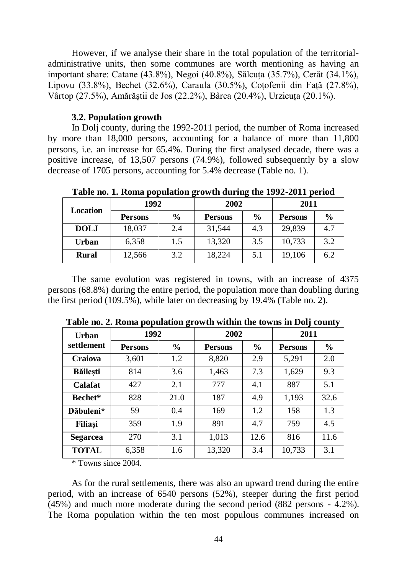However, if we analyse their share in the total population of the territorialadministrative units, then some communes are worth mentioning as having an important share: Catane (43.8%), Negoi (40.8%), Sălcuța (35.7%), Cerăt (34.1%), Lipovu (33.8%), Bechet (32.6%), Caraula (30.5%), Coțofenii din Față (27.8%), Vârtop (27.5%), Amărăștii de Jos (22.2%), Bârca (20.4%), Urzicuța (20.1%).

#### **3.2. Population growth**

In Dolj county, during the 1992-2011 period, the number of Roma increased by more than 18,000 persons, accounting for a balance of more than 11,800 persons, i.e. an increase for 65.4%. During the first analysed decade, there was a positive increase, of 13,507 persons (74.9%), followed subsequently by a slow decrease of 1705 persons, accounting for 5.4% decrease (Table no. 1).

**Location 1992 2002 2011 Persons % Persons % Persons % DOLJ** | 18,037 | 2.4 | 31,544 | 4.3 | 29,839 | 4.7 **Urban** 6,358 1.5 13,320 3.5 10,733 3.2 **Rural** | 12,566 | 3.2 | 18,224 | 5.1 | 19,106 | 6.2

**Table no. 1. Roma population growth during the 1992-2011 period**

The same evolution was registered in towns, with an increase of 4375 persons (68.8%) during the entire period, the population more than doubling during the first period (109.5%), while later on decreasing by 19.4% (Table no. 2).

| Urban                 | 1992           | $\sim$         | 2002           |               | $\cdot$<br>$\overline{ }$<br>2011 |               |  |
|-----------------------|----------------|----------------|----------------|---------------|-----------------------------------|---------------|--|
| settlement            | <b>Persons</b> | $\frac{6}{10}$ | <b>Persons</b> | $\frac{6}{9}$ | <b>Persons</b>                    | $\frac{6}{9}$ |  |
| Craiova               | 3,601          | 1.2            | 8,820          | 2.9           | 5,291                             | 2.0           |  |
| <b>Băilești</b>       | 814            | 3.6            | 1,463          | 7.3           | 1,629                             | 9.3           |  |
| Calafat               | 427            | 2.1            | 777            | 4.1           | 887                               | 5.1           |  |
| Bechet*               | 828            | 21.0           | 187            | 4.9           | 1,193                             | 32.6          |  |
| Dăbuleni*             | 59             | 0.4            | 169            | 1.2           | 158                               | 1.3           |  |
| Filiași               | 359            | 1.9            | 891            | 4.7           | 759                               | 4.5           |  |
| <b>Segarcea</b>       | 270<br>3.1     |                | 1,013          | 12.6          | 816                               | 11.6          |  |
| <b>TOTAL</b><br>6,358 |                | 1.6            | 13,320         | 3.4           | 10,733                            | 3.1           |  |

**Table no. 2. Roma population growth within the towns in Dolj county**

\* Towns since 2004.

As for the rural settlements, there was also an upward trend during the entire period, with an increase of 6540 persons (52%), steeper during the first period (45%) and much more moderate during the second period (882 persons - 4.2%). The Roma population within the ten most populous communes increased on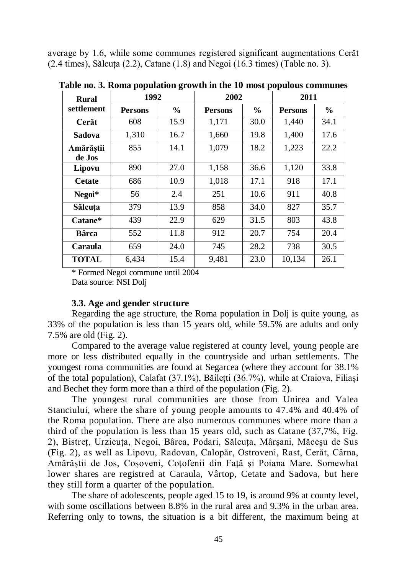average by 1.6, while some communes registered significant augmentations Cerăt (2.4 times), Sălcuța (2.2), Catane (1.8) and Negoi (16.3 times) (Table no. 3).

| <b>Rural</b>        | 1992           |               | 2002           |               | 2011           |               |  |
|---------------------|----------------|---------------|----------------|---------------|----------------|---------------|--|
| settlement          | <b>Persons</b> | $\frac{0}{0}$ | <b>Persons</b> | $\frac{0}{0}$ | <b>Persons</b> | $\frac{0}{0}$ |  |
| Cerăt               | 608            | 15.9          | 1,171          | 30.0          | 1,440          | 34.1          |  |
| Sadova              | 1,310          | 16.7          | 1,660          | 19.8          | 1,400          | 17.6          |  |
| Amărăștii<br>de Jos | 855            | 14.1          | 1.079          | 18.2          | 1,223          | 22.2          |  |
| Lipovu              | 890            | 27.0          | 1,158          | 36.6          | 1,120          | 33.8          |  |
| <b>Cetate</b>       | 686            | 10.9          | 1,018          | 17.1          | 918            | 17.1          |  |
| Negoi*              | 56             | 2.4           | 251            | 10.6          | 911            | 40.8          |  |
| Sălcuța             | 379            | 13.9          | 858            | 34.0          | 827            | 35.7          |  |
| Catane*             | 439            | 22.9          | 629            | 31.5          | 803            | 43.8          |  |
| Bârca               | 552            |               | 912            | 20.7          | 754            | 20.4          |  |
| Caraula             | 659<br>24.0    |               | 745            | 28.2          | 738            | 30.5          |  |
| <b>TOTAL</b>        | 6,434          | 15.4          | 9,481          | 23.0          | 10,134         | 26.1          |  |

**Table no. 3. Roma population growth in the 10 most populous communes**

\* Formed Negoi commune until 2004

Data source: NSI Dolj

## **3.3. Age and gender structure**

Regarding the age structure, the Roma population in Dolj is quite young, as 33% of the population is less than 15 years old, while 59.5% are adults and only 7.5% are old (Fig. 2).

Compared to the average value registered at county level, young people are more or less distributed equally in the countryside and urban settlements. The youngest roma communities are found at Segarcea (where they account for 38.1% of the total population), Calafat (37.1%), Băilețti (36.7%), while at Craiova, Filiași and Bechet they form more than a third of the population (Fig. 2).

The youngest rural communities are those from Unirea and Valea Stanciului, where the share of young people amounts to 47.4% and 40.4% of the Roma population. There are also numerous communes where more than a third of the population is less than 15 years old, such as Catane (37,7%, Fig. 2), Bistreț, Urzicuța, Negoi, Bârca, Podari, Sălcuța, Mârșani, Măceșu de Sus (Fig. 2), as well as Lipovu, Radovan, Calopăr, Ostroveni, Rast, Cerăt, Cârna, Amărăștii de Jos, Coșoveni, Coțofenii din Față și Poiana Mare. Somewhat lower shares are registred at Caraula, Vârtop, Cetate and Sadova, but here they still form a quarter of the population.

The share of adolescents, people aged 15 to 19, is around 9% at county level, with some oscillations between 8.8% in the rural area and 9.3% in the urban area. Referring only to towns, the situation is a bit different, the maximum being at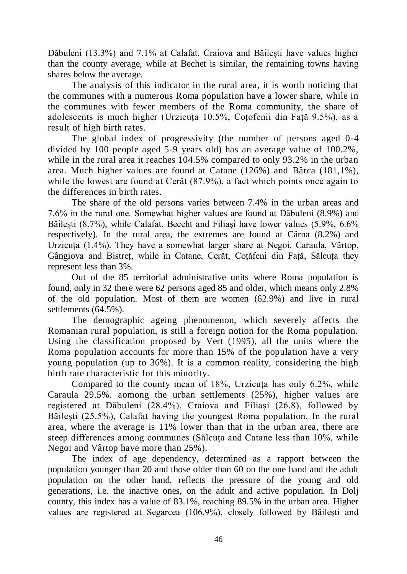Dăbuleni (13.3%) and 7.1% at Calafat. Craiova and Băilești have values higher than the county average, while at Bechet is similar, the remaining towns having shares below the average.

The analysis of this indicator in the rural area, it is worth noticing that the communes with a numerous Roma population have a lower share, while in the communes with fewer members of the Roma community, the share of adolescents is much higher (Urzicuța 10.5%, Coțofenii din Față 9.5%), as a result of high birth rates.

The global index of progressivity (the number of persons aged 0-4 divided by 100 people aged 5-9 years old) has an average value of 100.2%, while in the rural area it reaches 104.5% compared to only 93.2% in the urban area. Much higher values are found at Catane (126%) and Bârca (181,1%), while the lowest are found at Cerăt (87.9%), a fact which points once again to the differences in birth rates.

The share of the old persons varies between 7.4% in the urban areas and 7.6% in the rural one. Somewhat higher values are found at Dăbuleni (8.9%) and Băilești (8.7%), while Calafat, Beceht and Filiași have lower values (5.9%, 6.6% respectively). In the rural area, the extremes are found at Cârna (8.2%) and Urzicuța (1.4%). They have a somewhat larger share at Negoi, Caraula, Vârtop, Gângiova and Bistreț, while in Catane, Cerăt, Coțăfeni din Față, Sălcuța they represent less than 3%.

Out of the 85 territorial administrative units where Roma population is found, only in 32 there were 62 persons aged 85 and older, which means only 2.8% of the old population. Most of them are women (62.9%) and live in rural settlements (64.5%).

The demographic ageing phenomenon, which severely affects the Romanian rural population, is still a foreign notion for the Roma population. Using the classification proposed by Vert (1995), all the units where the Roma population accounts for more than 15% of the population have a very young population (up to 36%). It is a common reality, considering the high birth rate characteristic for this minority.

Compared to the county mean of 18%, Urzicuța has only 6.2%, while Caraula 29.5%. aomong the urban settlements (25%), higher values are registered at Dăbuleni (28.4%), Craiova and Filiași (26.8), followed by Băilești (25.5%), Calafat having the youngest Roma population. In the rural area, where the average is 11% lower than that in the urban area, there are steep differences among communes (Sălcuța and Catane less than 10%, while Negoi and Vârtop have more than 25%).

The index of age dependency, determined as a rapport between the population younger than 20 and those older than 60 on the one hand and the adult population on the other hand, reflects the pressure of the young and old generations, i.e. the inactive ones, on the adult and active population. In Dolj county, this index has a value of 83.1%, reaching 89.5% in the urban area. Higher values are registered at Segarcea (106.9%), closely followed by Băilești and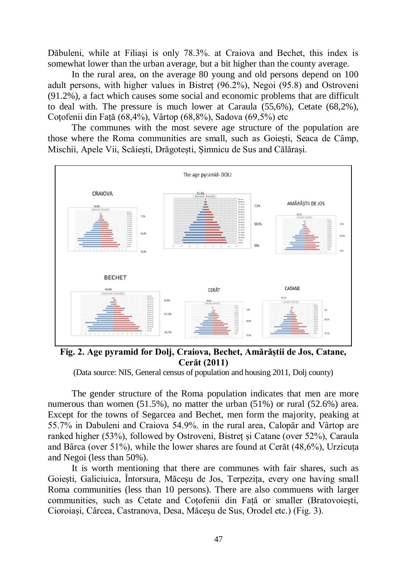Dăbuleni, while at Filiași is only 78.3%. at Craiova and Bechet, this index is somewhat lower than the urban average, but a bit higher than the county average.

In the rural area, on the average 80 young and old persons depend on 100 adult persons, with higher values in Bistreț (96.2%), Negoi (95.8) and Ostroveni (91.2%), a fact which causes some social and economic problems that are difficult to deal with. The pressure is much lower at Caraula (55,6%), Cetate (68,2%), Coțofenii din Față (68,4%), Vârtop (68,8%), Sadova (69,5%) etc

The communes with the most severe age structure of the population are those where the Roma communities are small, such as Goiești, Seaca de Câmp, Mischii, Apele Vii, Scăiești, Drăgotești, Șimnicu de Sus and Călărași.



**Fig. 2. Age pyramid for Dolj, Craiova, Bechet, Amărăștii de Jos, Catane, Cerăt (2011)**

(Data source: NIS, General census of population and housing 2011, Dolj county)

The gender structure of the Roma population indicates that men are more numerous than women (51.5%), no matter the urban (51%) or rural (52.6%) area. Except for the towns of Segarcea and Bechet, men form the majority, peaking at 55.7% in Dabuleni and Craiova 54.9%. in the rural area, Calopăr and Vârtop are ranked higher (53%), followed by Ostroveni, Bistreț și Catane (over 52%), Caraula and Bârca (over 51%), while the lower shares are found at Cerăt (48,6%), Urzicuța and Negoi (less than 50%).

It is worth mentioning that there are communes with fair shares, such as Goiești, Galiciuica, Întorsura, Măceșu de Jos, Terpezița, every one having small Roma communities (less than 10 persons). There are also commuens with larger communities, such as Cetate and Cotofenii din Față or smaller (Bratovoiești, Cioroiași, Cârcea, Castranova, Desa, Măceșu de Sus, Orodel etc.) (Fig. 3).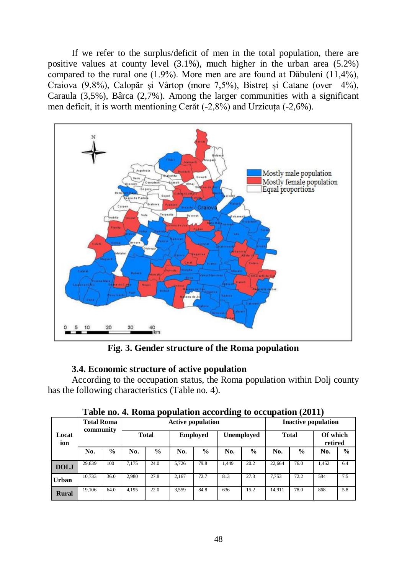If we refer to the surplus/deficit of men in the total population, there are positive values at county level (3.1%), much higher in the urban area (5.2%) compared to the rural one (1.9%). More men are are found at Dăbuleni (11,4%), Craiova (9,8%), Calopăr și Vârtop (more 7,5%), Bistreț și Catane (over 4%), Caraula  $(3,5\%)$ , Bârca  $(2,7\%)$ . Among the larger communities with a significant men deficit, it is worth mentioning Cerăt (-2,8%) and Urzicuța (-2,6%).



**Fig. 3. Gender structure of the Roma population**

## **3.4. Economic structure of active population**

According to the occupation status, the Roma population within Dolj county has the following characteristics (Table no. 4).

| $\ldots$ access population weeds and $\alpha$ overspaced $(20.22)$ |                                |               |                          |               |                 |               |            |               |                            |               |                     |               |
|--------------------------------------------------------------------|--------------------------------|---------------|--------------------------|---------------|-----------------|---------------|------------|---------------|----------------------------|---------------|---------------------|---------------|
| Locat<br>ion                                                       | <b>Total Roma</b><br>community |               | <b>Active population</b> |               |                 |               |            |               | <b>Inactive population</b> |               |                     |               |
|                                                                    |                                |               | <b>Total</b>             |               | <b>Employed</b> |               | Unemploved |               | <b>Total</b>               |               | Of which<br>retired |               |
|                                                                    | No.                            | $\frac{0}{0}$ | No.                      | $\frac{0}{0}$ | No.             | $\frac{6}{9}$ | No.        | $\frac{6}{9}$ | No.                        | $\frac{0}{0}$ | No.                 | $\frac{0}{0}$ |
| <b>DOLJ</b>                                                        | 29,839                         | 100           | 7.175                    | 24.0          | 5.726           | 79.8          | 1.449      | 20.2          | 22.664                     | 76.0          | 1.452               | 6.4           |
| Urban                                                              | 10.733                         | 36.0          | 2.980                    | 27.8          | 2.167           | 72.7          | 813        | 27.3          | 7.753                      | 72.2          | 584                 | 7.5           |
| <b>Rural</b>                                                       | 19.106                         | 64.0          | 4.195                    | 22.0          | 3.559           | 84.8          | 636        | 15.2          | 14.911                     | 78.0          | 868                 | 5.8           |

**Table no. 4. Roma population according to occupation (2011)**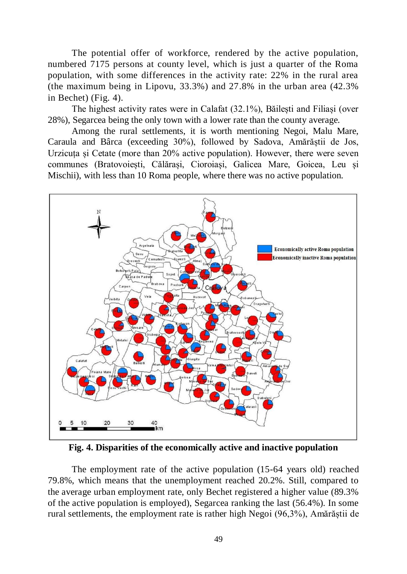The potential offer of workforce, rendered by the active population, numbered 7175 persons at county level, which is just a quarter of the Roma population, with some differences in the activity rate: 22% in the rural area (the maximum being in Lipovu, 33.3%) and 27.8% in the urban area (42.3% in Bechet) (Fig. 4).

The highest activity rates were in Calafat (32.1%), Băilești and Filiași (over 28%), Segarcea being the only town with a lower rate than the county average.

Among the rural settlements, it is worth mentioning Negoi, Malu Mare, Caraula and Bârca (exceeding 30%), followed by Sadova, Amărăștii de Jos, Urzicuța și Cetate (more than 20% active population). However, there were seven communes (Bratovoiești, Călărași, Cioroiași, Galicea Mare, Goicea, Leu și Mischii), with less than 10 Roma people, where there was no active population.



**Fig. 4. Disparities of the economically active and inactive population**

The employment rate of the active population (15-64 years old) reached 79.8%, which means that the unemployment reached 20.2%. Still, compared to the average urban employment rate, only Bechet registered a higher value (89.3% of the active population is employed), Segarcea ranking the last (56.4%). In some rural settlements, the employment rate is rather high Negoi (96,3%), Amărăștii de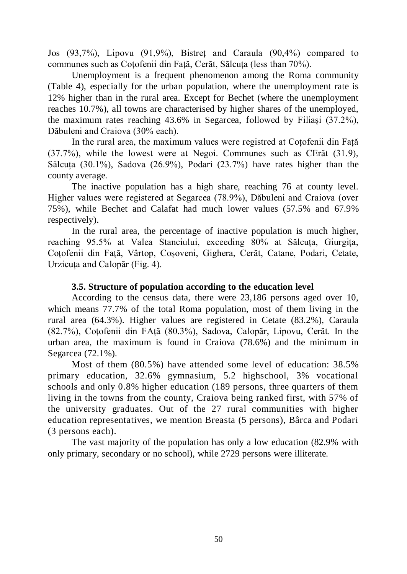Jos (93,7%), Lipovu (91,9%), Bistreț and Caraula (90,4%) compared to communes such as Coțofenii din Față, Cerăt, Sălcuța (less than 70%).

Unemployment is a frequent phenomenon among the Roma community (Table 4), especially for the urban population, where the unemployment rate is 12% higher than in the rural area. Except for Bechet (where the unemployment reaches 10.7%), all towns are characterised by higher shares of the unemployed, the maximum rates reaching 43.6% in Segarcea, followed by Filiași (37.2%), Dăbuleni and Craiova (30% each).

In the rural area, the maximum values were registred at Cotofenii din Fată (37.7%), while the lowest were at Negoi. Communes such as CErăt (31.9), Sălcuța (30.1%), Sadova (26.9%), Podari (23.7%) have rates higher than the county average.

The inactive population has a high share, reaching 76 at county level. Higher values were registered at Segarcea (78.9%), Dăbuleni and Craiova (over 75%), while Bechet and Calafat had much lower values (57.5% and 67.9% respectively).

In the rural area, the percentage of inactive population is much higher, reaching 95.5% at Valea Stanciului, exceeding 80% at Sălcuta, Giurgita, Coțofenii din Față, Vârtop, Coșoveni, Gighera, Cerăt, Catane, Podari, Cetate, Urzicuța and Calopăr (Fig. 4).

## **3.5. Structure of population according to the education level**

According to the census data, there were 23,186 persons aged over 10, which means 77.7% of the total Roma population, most of them living in the rural area (64.3%). Higher values are registered in Cetate (83.2%), Caraula (82.7%), Coțofenii din FAță (80.3%), Sadova, Calopăr, Lipovu, Cerăt. In the urban area, the maximum is found in Craiova (78.6%) and the minimum in Segarcea (72.1%).

Most of them (80.5%) have attended some level of education: 38.5% primary education, 32.6% gymnasium, 5.2 highschool, 3% vocational schools and only 0.8% higher education (189 persons, three quarters of them living in the towns from the county, Craiova being ranked first, with 57% of the university graduates. Out of the 27 rural communities with higher education representatives, we mention Breasta (5 persons), Bârca and Podari (3 persons each).

The vast majority of the population has only a low education (82.9% with only primary, secondary or no school), while 2729 persons were illiterate.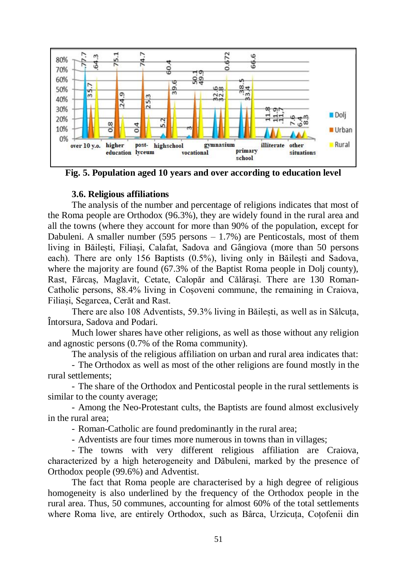

**Fig. 5. Population aged 10 years and over according to education level**

## **3.6. Religious affiliations**

The analysis of the number and percentage of religions indicates that most of the Roma people are Orthodox (96.3%), they are widely found in the rural area and all the towns (where they account for more than 90% of the population, except for Dabuleni. A smaller number (595 persons – 1.7%) are Penticostals, most of them living in Băilești, Filiași, Calafat, Sadova and Gângiova (more than 50 persons each). There are only 156 Baptists (0.5%), living only in Băilești and Sadova, where the majority are found (67.3% of the Baptist Roma people in Dolj county), Rast, Fărcaș, Maglavit, Cetate, Calopăr and Călărași. There are 130 Roman-Catholic persons, 88.4% living in Coșoveni commune, the remaining in Craiova, Filiași, Segarcea, Cerăt and Rast.

There are also 108 Adventists, 59.3% living in Băilești, as well as in Sălcuța, Întorsura, Sadova and Podari.

Much lower shares have other religions, as well as those without any religion and agnostic persons (0.7% of the Roma community).

The analysis of the religious affiliation on urban and rural area indicates that:

- The Orthodox as well as most of the other religions are found mostly in the rural settlements;

- The share of the Orthodox and Penticostal people in the rural settlements is similar to the county average;

- Among the Neo-Protestant cults, the Baptists are found almost exclusively in the rural area;

- Roman-Catholic are found predominantly in the rural area;

- Adventists are four times more numerous in towns than in villages;

- The towns with very different religious affiliation are Craiova, characterized by a high heterogeneity and Dăbuleni, marked by the presence of Orthodox people (99.6%) and Adventist.

The fact that Roma people are characterised by a high degree of religious homogeneity is also underlined by the frequency of the Orthodox people in the rural area. Thus, 50 communes, accounting for almost 60% of the total settlements where Roma live, are entirely Orthodox, such as Bârca, Urzicuța, Coțofenii din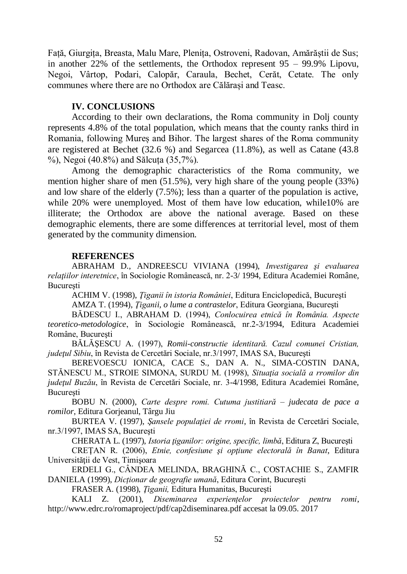Față, Giurgița, Breasta, Malu Mare, Plenița, Ostroveni, Radovan, Amărăștii de Sus; in another 22% of the settlements, the Orthodox represent 95 – 99.9% Lipovu, Negoi, Vârtop, Podari, Calopăr, Caraula, Bechet, Cerăt, Cetate. The only communes where there are no Orthodox are Călărași and Teasc.

### **IV. CONCLUSIONS**

According to their own declarations, the Roma community in Dolj county represents 4.8% of the total population, which means that the county ranks third in Romania, following Mureș and Bihor. The largest shares of the Roma community are registered at Bechet (32.6 %) and Segarcea (11.8%), as well as Catane (43.8 %), Negoi (40.8%) and Sălcuța (35,7%).

Among the demographic characteristics of the Roma community, we mention higher share of men (51.5%), very high share of the young people (33%) and low share of the elderly (7.5%); less than a quarter of the population is active, while 20% were unemployed. Most of them have low education, while10% are illiterate; the Orthodox are above the national average. Based on these demographic elements, there are some differences at territorial level, most of them generated by the community dimension.

## **REFERENCES**

ABRAHAM D., ANDREESCU VIVIANA (1994), *Investigarea şi evaluarea relaţiilor interetnice*, în Sociologie Românească, nr. 2-3/ 1994, Editura Academiei Române, Bucureşti

ACHIM V. (1998), *Ţiganii în istoria României*, Editura Enciclopedică, Bucureşti

AMZA T. (1994), *Ţiganii, o lume a contrastelor*, Editura Georgiana, Bucureşti

BĂDESCU I., ABRAHAM D. (1994), *Conlocuirea etnică în România. Aspecte teoretico-metodologice*, în Sociologie Românească, nr.2-3/1994, Editura Academiei Române, Bucureşti

BĂLĂŞESCU A. (1997), *Romii-constructie identitară. Cazul comunei Cristian, judeţul Sibiu*, în Revista de Cercetări Sociale, nr.3/1997, IMAS SA, Bucureşti

BEREVOESCU IONICA, CACE S., DAN A. N., SIMA-COSTIN DANA, STĂNESCU M., STROIE SIMONA, SURDU M. (1998), *Situaţia socială a rromilor din judeţul Buzău*, în Revista de Cercetări Sociale, nr. 3-4/1998, Editura Academiei Române, **Bucuresti** 

BOBU N. (2000), *Carte despre romi. Cutuma justitiară – judecata de pace a romilor*, Editura Gorjeanul, Târgu Jiu

BURTEA V. (1997), *Şansele populaţiei de rromi*, în Revista de Cercetări Sociale, nr.3/1997, IMAS SA, Bucureşti

CHERATA L. (1997), *Istoria ţiganilor: origine, specific, limbă*, Editura Z, Bucureşti

CREŢAN R. (2006), *Etnie, confesiune şi opţiune electorală în Banat*, Editura Universității de Vest, Timișoara

ERDELI G., CÂNDEA MELINDA, BRAGHINĂ C., COSTACHIE S., ZAMFIR DANIELA (1999), *Dicționar de geografie umană*, Editura Corint, București

FRASER A. (1998), *Ţiganii,* Editura Humanitas, Bucureşti

KALI Z. (2001), *Diseminarea experiențelor proiectelor pentru romi*, http://www.edrc.ro/romaproject/pdf/cap2diseminarea.pdf accesat la 09.05. 2017